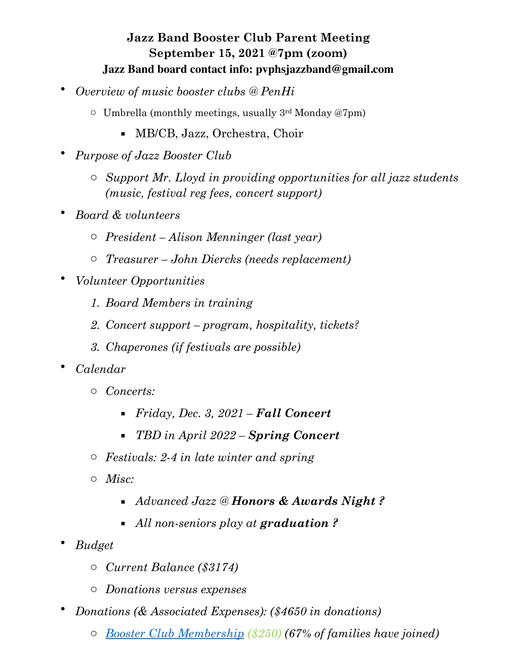## **Jazz Band Booster Club Parent Meeting September 15, 2021 @7pm (zoom) Jazz Band board contact info: pvphsjazzband@gmail.com**

- *Overview of music booster clubs @ PenHi*
	- $\circ$  Umbrella (monthly meetings, usually 3<sup>rd</sup> Monday @7pm)
		- MB/CB, Jazz, Orchestra, Choir
- *Purpose of Jazz Booster Club*
	- o *Support Mr. Lloyd in providing opportunities for all jazz students (music, festival reg fees, concert support)*
- *Board & volunteers*
	- o *President Alison Menninger (last year)*
	- o *Treasurer John Diercks (needs replacement)*
- *Volunteer Opportunities*
	- *1. Board Members in training*
	- *2. Concert support program, hospitality, tickets?*
	- *3. Chaperones (if festivals are possible)*
- *Calendar*
	- o *Concerts:*
		- *Friday, Dec. 3, 2021 Fall Concert*
		- *TBD in April 2022 Spring Concert*
	- o *Festivals: 2-4 in late winter and spring*
	- o *Misc:*
		- *Advanced Jazz @ Honors & Awards Night ?*
		- *All non-seniors play at graduation ?*
- *Budget*
	- o *Current Balance (\$3174)*
	- o *Donations versus expenses*
- *Donations (& Associated Expenses): (\$4650 in donations)*
	- o *[Booster Club Membership](http://www.pvphsmusicboosters.com/registration.html) (\$250) (67% of families have joined)*